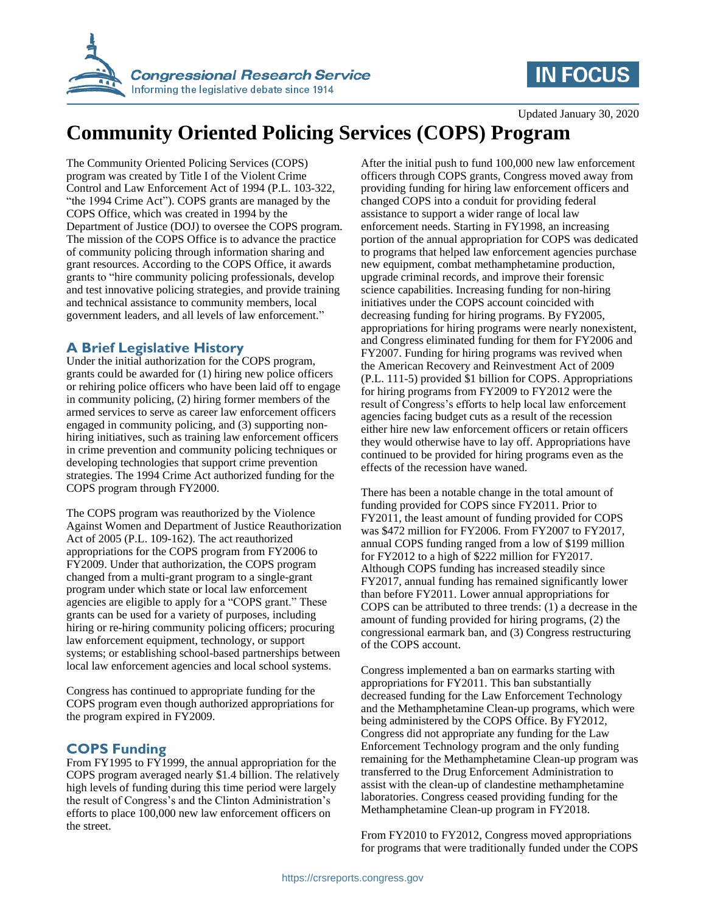

## **IN FOCUS**

Updated January 30, 2020

# **Community Oriented Policing Services (COPS) Program**

The Community Oriented Policing Services (COPS) program was created by Title I of the Violent Crime Control and Law Enforcement Act of 1994 (P.L. 103-322, "the 1994 Crime Act"). COPS grants are managed by the COPS Office, which was created in 1994 by the Department of Justice (DOJ) to oversee the COPS program. The mission of the COPS Office is to advance the practice of community policing through information sharing and grant resources. According to the COPS Office, it awards grants to "hire community policing professionals, develop and test innovative policing strategies, and provide training and technical assistance to community members, local government leaders, and all levels of law enforcement."

#### **A Brief Legislative History**

Under the initial authorization for the COPS program, grants could be awarded for (1) hiring new police officers or rehiring police officers who have been laid off to engage in community policing, (2) hiring former members of the armed services to serve as career law enforcement officers engaged in community policing, and (3) supporting nonhiring initiatives, such as training law enforcement officers in crime prevention and community policing techniques or developing technologies that support crime prevention strategies. The 1994 Crime Act authorized funding for the COPS program through FY2000.

The COPS program was reauthorized by the Violence Against Women and Department of Justice Reauthorization Act of 2005 (P.L. 109-162). The act reauthorized appropriations for the COPS program from FY2006 to FY2009. Under that authorization, the COPS program changed from a multi-grant program to a single-grant program under which state or local law enforcement agencies are eligible to apply for a "COPS grant." These grants can be used for a variety of purposes, including hiring or re-hiring community policing officers; procuring law enforcement equipment, technology, or support systems; or establishing school-based partnerships between local law enforcement agencies and local school systems.

Congress has continued to appropriate funding for the COPS program even though authorized appropriations for the program expired in FY2009.

### **COPS Funding**

From FY1995 to FY1999, the annual appropriation for the COPS program averaged nearly \$1.4 billion. The relatively high levels of funding during this time period were largely the result of Congress's and the Clinton Administration's efforts to place 100,000 new law enforcement officers on the street.

After the initial push to fund 100,000 new law enforcement officers through COPS grants, Congress moved away from providing funding for hiring law enforcement officers and changed COPS into a conduit for providing federal assistance to support a wider range of local law enforcement needs. Starting in FY1998, an increasing portion of the annual appropriation for COPS was dedicated to programs that helped law enforcement agencies purchase new equipment, combat methamphetamine production, upgrade criminal records, and improve their forensic science capabilities. Increasing funding for non-hiring initiatives under the COPS account coincided with decreasing funding for hiring programs. By FY2005, appropriations for hiring programs were nearly nonexistent, and Congress eliminated funding for them for FY2006 and FY2007. Funding for hiring programs was revived when the American Recovery and Reinvestment Act of 2009 (P.L. 111-5) provided \$1 billion for COPS. Appropriations for hiring programs from FY2009 to FY2012 were the result of Congress's efforts to help local law enforcement agencies facing budget cuts as a result of the recession either hire new law enforcement officers or retain officers they would otherwise have to lay off. Appropriations have continued to be provided for hiring programs even as the effects of the recession have waned.

There has been a notable change in the total amount of funding provided for COPS since FY2011. Prior to FY2011, the least amount of funding provided for COPS was \$472 million for FY2006. From FY2007 to FY2017, annual COPS funding ranged from a low of \$199 million for FY2012 to a high of \$222 million for FY2017. Although COPS funding has increased steadily since FY2017, annual funding has remained significantly lower than before FY2011. Lower annual appropriations for COPS can be attributed to three trends: (1) a decrease in the amount of funding provided for hiring programs, (2) the congressional earmark ban, and (3) Congress restructuring of the COPS account.

Congress implemented a ban on earmarks starting with appropriations for FY2011. This ban substantially decreased funding for the Law Enforcement Technology and the Methamphetamine Clean-up programs, which were being administered by the COPS Office. By FY2012, Congress did not appropriate any funding for the Law Enforcement Technology program and the only funding remaining for the Methamphetamine Clean-up program was transferred to the Drug Enforcement Administration to assist with the clean-up of clandestine methamphetamine laboratories. Congress ceased providing funding for the Methamphetamine Clean-up program in FY2018.

From FY2010 to FY2012, Congress moved appropriations for programs that were traditionally funded under the COPS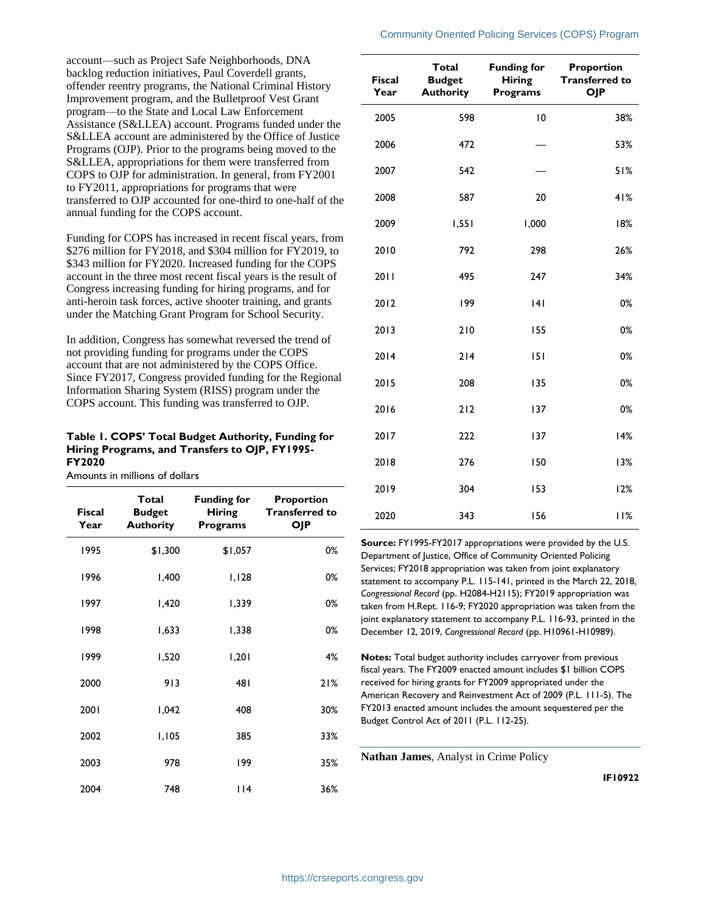account—such as Project Safe Neighborhoods, DNA backlog reduction initiatives, Paul Coverdell grants, offender reentry programs, the National Criminal History Improvement program, and the Bulletproof Vest Grant program—to the State and Local Law Enforcement Assistance (S&LLEA) account. Programs funded under the S&LLEA account are administered by the Office of Justice Programs (OJP). Prior to the programs being moved to the S&LLEA, appropriations for them were transferred from COPS to OJP for administration. In general, from FY2001 to FY2011, appropriations for programs that were transferred to OJP accounted for one-third to one-half of the annual funding for the COPS account.

Funding for COPS has increased in recent fiscal years, from \$276 million for FY2018, and \$304 million for FY2019, to \$343 million for FY2020. Increased funding for the COPS account in the three most recent fiscal years is the result of Congress increasing funding for hiring programs, and for anti-heroin task forces, active shooter training, and grants under the Matching Grant Program for School Security.

In addition, Congress has somewhat reversed the trend of not providing funding for programs under the COPS account that are not administered by the COPS Office. Since FY2017, Congress provided funding for the Regional Information Sharing System (RISS) program under the COPS account. This funding was transferred to OJP.

#### **Table 1. COPS' Total Budget Authority, Funding for Hiring Programs, and Transfers to OJP, FY1995- FY2020**

Amounts in millions of dollars

| <b>Fiscal</b><br>Year | Total<br><b>Budget</b><br><b>Authority</b> | <b>Funding for</b><br><b>Hiring</b><br><b>Programs</b> | <b>Proportion</b><br><b>Transferred to</b><br><b>OJP</b> |
|-----------------------|--------------------------------------------|--------------------------------------------------------|----------------------------------------------------------|
| 1995                  | \$1,300                                    | \$1,057                                                | 0%                                                       |
| 1996                  | 1,400                                      | 1,128                                                  | 0%                                                       |
| 1997                  | 1,420                                      | 1,339                                                  | 0%                                                       |
| 1998                  | 1,633                                      | 1,338                                                  | 0%                                                       |
| 1999                  | 1,520                                      | 1,201                                                  | 4%                                                       |
| 2000                  | 913                                        | 481                                                    | 21%                                                      |
| 2001                  | 1,042                                      | 408                                                    | 30%                                                      |
| 2002                  | 1,105                                      | 385                                                    | 33%                                                      |
| 2003                  | 978                                        | 199                                                    | 35%                                                      |
| 2004                  | 748                                        | 114                                                    | 36%                                                      |

**Fiscal Year Total Budget Authority Funding for Hiring Programs Proportion Transferred to OJP**

Community Oriented Policing Services (COPS) Program

| 2005 | 598   | 10    | 38%   |
|------|-------|-------|-------|
| 2006 | 472   |       | 53%   |
| 2007 | 542   |       | 51%   |
| 2008 | 587   | 20    | 41%   |
| 2009 | 1,551 | 1,000 | 18%   |
| 2010 | 792   | 298   | 26%   |
| 2011 | 495   | 247   | 34%   |
| 2012 | 199   | 4     | 0%    |
| 2013 | 210   | 155   | $0\%$ |
| 2014 | 214   | 151   | $0\%$ |
| 2015 | 208   | 135   | 0%    |
| 2016 | 212   | 137   | $0\%$ |
| 2017 | 222   | 137   | 14%   |
| 2018 | 276   | 150   | 13%   |
| 2019 | 304   | 153   | 12%   |
| 2020 | 343   | 156   | 11%   |

**Source:** FY1995-FY2017 appropriations were provided by the U.S. Department of Justice, Office of Community Oriented Policing Services; FY2018 appropriation was taken from joint explanatory statement to accompany P.L. 115-141, printed in the March 22, 2018, *Congressional Record* (pp. H2084-H2115); FY2019 appropriation was taken from H.Rept. 116-9; FY2020 appropriation was taken from the joint explanatory statement to accompany P.L. 116-93, printed in the December 12, 2019, *Congressional Record* (pp. H10961-H10989).

**Notes:** Total budget authority includes carryover from previous fiscal years. The FY2009 enacted amount includes \$1 billion COPS received for hiring grants for FY2009 appropriated under the American Recovery and Reinvestment Act of 2009 (P.L. 111-5). The FY2013 enacted amount includes the amount sequestered per the Budget Control Act of 2011 (P.L. 112-25).

**Nathan James**, Analyst in Crime Policy

**IF10922**